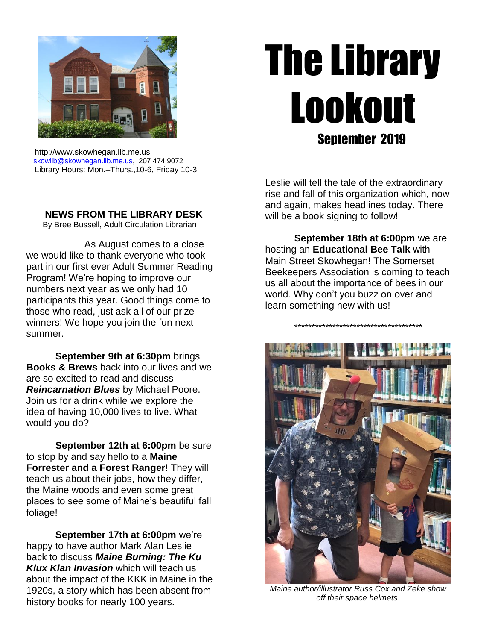

# The Library Lookout Sentember 2019

 http://www.skowhegan.lib.me.us [skowlib@skowhegan.lib.me.us,](mailto:skowlib@skowhegan.lib.me.us) 207 474 9072 Library Hours: Mon.–Thurs.,10-6, Friday 10-3

**NEWS FROM THE LIBRARY DESK**

By Bree Bussell, Adult Circulation Librarian

As August comes to a close we would like to thank everyone who took part in our first ever Adult Summer Reading Program! We're hoping to improve our numbers next year as we only had 10 participants this year. Good things come to those who read, just ask all of our prize winners! We hope you join the fun next summer.

**September 9th at 6:30pm** brings **Books & Brews** back into our lives and we are so excited to read and discuss *Reincarnation Blues* by Michael Poore. Join us for a drink while we explore the idea of having 10,000 lives to live. What would you do?

**September 12th at 6:00pm** be sure to stop by and say hello to a **Maine Forrester and a Forest Ranger**! They will teach us about their jobs, how they differ, the Maine woods and even some great places to see some of Maine's beautiful fall foliage!

**September 17th at 6:00pm** we're happy to have author Mark Alan Leslie back to discuss *Maine Burning: The Ku Klux Klan Invasion* which will teach us about the impact of the KKK in Maine in the 1920s, a story which has been absent from history books for nearly 100 years.

Leslie will tell the tale of the extraordinary rise and fall of this organization which, now and again, makes headlines today. There will be a book signing to follow!

**September 18th at 6:00pm** we are hosting an **Educational Bee Talk** with Main Street Skowhegan! The Somerset Beekeepers Association is coming to teach us all about the importance of bees in our world. Why don't you buzz on over and learn something new with us!

\*\*\*\*\*\*\*\*\*\*\*\*\*\*\*\*\*\*\*\*\*\*\*\*\*\*\*\*\*\*\*\*\*\*\*\*\*



*Maine author/illustrator Russ Cox and Zeke show off their space helmets.*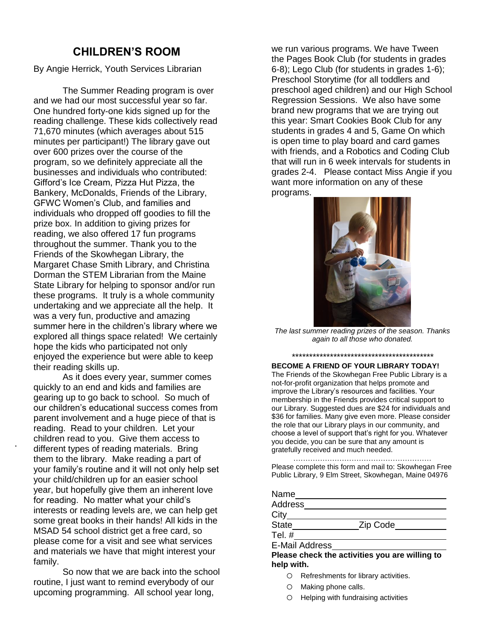# **CHILDREN'S ROOM**

By Angie Herrick, Youth Services Librarian

The Summer Reading program is over and we had our most successful year so far. One hundred forty-one kids signed up for the reading challenge. These kids collectively read 71,670 minutes (which averages about 515 minutes per participant!) The library gave out over 600 prizes over the course of the program, so we definitely appreciate all the businesses and individuals who contributed: Gifford's Ice Cream, Pizza Hut Pizza, the Bankery, McDonalds, Friends of the Library, GFWC Women's Club, and families and individuals who dropped off goodies to fill the prize box. In addition to giving prizes for reading, we also offered 17 fun programs throughout the summer. Thank you to the Friends of the Skowhegan Library, the Margaret Chase Smith Library, and Christina Dorman the STEM Librarian from the Maine State Library for helping to sponsor and/or run these programs. It truly is a whole community undertaking and we appreciate all the help. It was a very fun, productive and amazing summer here in the children's library where we explored all things space related! We certainly hope the kids who participated not only enjoyed the experience but were able to keep their reading skills up.

As it does every year, summer comes quickly to an end and kids and families are gearing up to go back to school. So much of our children's educational success comes from parent involvement and a huge piece of that is reading. Read to your children. Let your children read to you. Give them access to different types of reading materials. Bring them to the library. Make reading a part of your family's routine and it will not only help set your child/children up for an easier school year, but hopefully give them an inherent love for reading. No matter what your child's interests or reading levels are, we can help get some great books in their hands! All kids in the MSAD 54 school district get a free card, so please come for a visit and see what services and materials we have that might interest your family.

.

So now that we are back into the school routine, I just want to remind everybody of our upcoming programming. All school year long,

we run various programs. We have Tween the Pages Book Club (for students in grades 6-8); Lego Club (for students in grades 1-6); Preschool Storytime (for all toddlers and preschool aged children) and our High School Regression Sessions. We also have some brand new programs that we are trying out this year: Smart Cookies Book Club for any students in grades 4 and 5, Game On which is open time to play board and card games with friends, and a Robotics and Coding Club that will run in 6 week intervals for students in grades 2-4. Please contact Miss Angie if you want more information on any of these programs.



*The last summer reading prizes of the season. Thanks again to all those who donated.*

*\*\*\*\*\*\*\*\*\*\*\*\*\*\*\*\*\*\*\*\*\*\*\*\*\*\*\*\*\*\*\*\*\*\*\*\*\*\*\*\*\**

**BECOME A FRIEND OF YOUR LIBRARY TODAY!** The Friends of the Skowhegan Free Public Library is a not-for-profit organization that helps promote and improve the Library's resources and facilities. Your membership in the Friends provides critical support to our Library. Suggested dues are \$24 for individuals and \$36 for families. Many give even more. Please consider the role that our Library plays in our community, and choose a level of support that's right for you. Whatever you decide, you can be sure that any amount is gratefully received and much needed.

………………………………………………… Please complete this form and mail to: Skowhegan Free Public Library, 9 Elm Street, Skowhegan, Maine 04976

| Name                  |          |
|-----------------------|----------|
| Address               |          |
| City                  |          |
| State                 | Zip Code |
| Tel. $#$              |          |
| <b>E-Mail Address</b> |          |

**Please check the activities you are willing to help with.**

- o Refreshments for library activities.
- o Making phone calls.
- o Helping with fundraising activities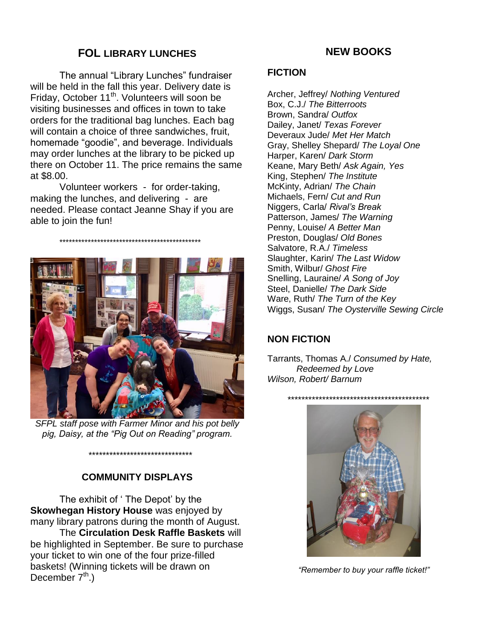# **FOL LIBRARY LUNCHES**

The annual "Library Lunches" fundraiser will be held in the fall this year. Delivery date is Friday, October 11<sup>th</sup>. Volunteers will soon be visiting businesses and offices in town to take orders for the traditional bag lunches. Each bag will contain a choice of three sandwiches, fruit, homemade "goodie", and beverage. Individuals may order lunches at the library to be picked up there on October 11. The price remains the same at \$8.00.

Volunteer workers - for order-taking, making the lunches, and delivering - are needed. Please contact Jeanne Shay if you are able to join the fun!

\*\*\*\*\*\*\*\*\*\*\*\*\*\*\*\*\*\*\*\*\*\*\*\*\*\*\*\*\*\*\*\*\*\*\*\*\*\*\*\*\*\*\*\*\*



*SFPL staff pose with Farmer Minor and his pot belly pig, Daisy, at the "Pig Out on Reading" program.*

\*\*\*\*\*\*\*\*\*\*\*\*\*\*\*\*\*\*\*\*\*\*\*\*\*\*\*\*\*\*

## **COMMUNITY DISPLAYS**

The exhibit of ' The Depot' by the **Skowhegan History House** was enjoyed by many library patrons during the month of August. The **Circulation Desk Raffle Baskets** will

be highlighted in September. Be sure to purchase your ticket to win one of the four prize-filled baskets! (Winning tickets will be drawn on December  $7<sup>th</sup>$ .)

## **NEW BOOKS**

#### **FICTION**

Archer, Jeffrey/ *Nothing Ventured* Box, C.J./ *The Bitterroots* Brown, Sandra/ *Outfox* Dailey, Janet/ *Texas Forever* Deveraux Jude/ *Met Her Match* Gray, Shelley Shepard/ *The Loyal One* Harper, Karen/ *Dark Storm* Keane, Mary Beth/ *Ask Again, Yes* King, Stephen/ *The Institute* McKinty, Adrian/ *The Chain* Michaels, Fern/ *Cut and Run* Niggers, Carla/ *Rival's Break* Patterson, James/ *The Warning* Penny, Louise/ *A Better Man* Preston, Douglas/ *Old Bones* Salvatore, R.A./ *Timeless* Slaughter, Karin/ *The Last Widow* Smith, Wilbur/ *Ghost Fire* Snelling, Lauraine/ *A Song of Joy* Steel, Danielle/ *The Dark Side* Ware, Ruth/ *The Turn of the Key* Wiggs, Susan/ *The Oysterville Sewing Circle*

## **NON FICTION**

Tarrants, Thomas A./ *Consumed by Hate, Redeemed by Love Wilson, Robert/ Barnum*



*"Remember to buy your raffle ticket!"*